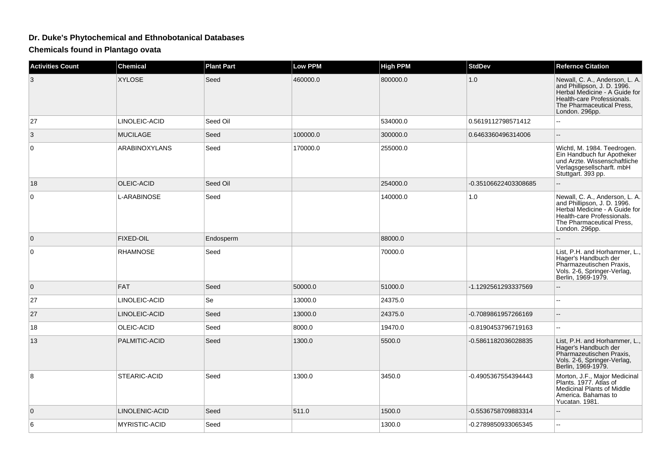## **Dr. Duke's Phytochemical and Ethnobotanical Databases**

**Chemicals found in Plantago ovata**

| <b>Activities Count</b> | <b>Chemical</b>      | <b>Plant Part</b> | <b>Low PPM</b> | <b>High PPM</b> | <b>StdDev</b>        | <b>Refernce Citation</b>                                                                                                                                                    |
|-------------------------|----------------------|-------------------|----------------|-----------------|----------------------|-----------------------------------------------------------------------------------------------------------------------------------------------------------------------------|
| 3                       | <b>XYLOSE</b>        | Seed              | 460000.0       | 800000.0        | 1.0                  | Newall, C. A., Anderson, L. A.<br>and Phillipson, J. D. 1996.<br>Herbal Medicine - A Guide for<br>Health-care Professionals.<br>The Pharmaceutical Press,<br>London. 296pp. |
| 27                      | LINOLEIC-ACID        | Seed Oil          |                | 534000.0        | 0.5619112798571412   | ш.                                                                                                                                                                          |
| 3                       | <b>MUCILAGE</b>      | Seed              | 100000.0       | 300000.0        | 0.6463360496314006   | --                                                                                                                                                                          |
| $\mathbf 0$             | <b>ARABINOXYLANS</b> | Seed              | 170000.0       | 255000.0        |                      | Wichtl, M. 1984. Teedrogen.<br>Ein Handbuch fur Apotheker<br>und Arzte. Wissenschaftliche<br>Verlagsgesellscharft. mbH<br>Stuttgart. 393 pp.                                |
| 18                      | <b>OLEIC-ACID</b>    | Seed Oil          |                | 254000.0        | -0.35106622403308685 |                                                                                                                                                                             |
| 0                       | L-ARABINOSE          | Seed              |                | 140000.0        | 1.0                  | Newall, C. A., Anderson, L. A.<br>and Phillipson, J. D. 1996.<br>Herbal Medicine - A Guide for<br>Health-care Professionals.<br>The Pharmaceutical Press.<br>London. 296pp. |
| $\mathbf{0}$            | <b>FIXED-OIL</b>     | Endosperm         |                | 88000.0         |                      |                                                                                                                                                                             |
| $\mathbf 0$             | <b>RHAMNOSE</b>      | Seed              |                | 70000.0         |                      | List, P.H. and Horhammer, L.,<br>Hager's Handbuch der<br>Pharmazeutischen Praxis,<br>Vols. 2-6, Springer-Verlag,<br>Berlin, 1969-1979.                                      |
| $\Omega$                | <b>FAT</b>           | Seed              | 50000.0        | 51000.0         | -1.1292561293337569  | --                                                                                                                                                                          |
| 27                      | LINOLEIC-ACID        | Se                | 13000.0        | 24375.0         |                      | ۵.                                                                                                                                                                          |
| 27                      | LINOLEIC-ACID        | Seed              | 13000.0        | 24375.0         | -0.7089861957266169  | --                                                                                                                                                                          |
| 18                      | OLEIC-ACID           | Seed              | 8000.0         | 19470.0         | -0.8190453796719163  | $\overline{a}$                                                                                                                                                              |
| 13                      | PALMITIC-ACID        | Seed              | 1300.0         | 5500.0          | -0.5861182036028835  | List, P.H. and Horhammer, L.,<br>Hager's Handbuch der<br>Pharmazeutischen Praxis,<br>Vols. 2-6, Springer-Verlag,<br>Berlin, 1969-1979.                                      |
| 8                       | STEARIC-ACID         | Seed              | 1300.0         | 3450.0          | -0.4905367554394443  | Morton, J.F., Major Medicinal<br>Plants. 1977. Atlas of<br>Medicinal Plants of Middle<br>America. Bahamas to<br>Yucatan. 1981.                                              |
| $\mathbf{0}$            | LINOLENIC-ACID       | Seed              | 511.0          | 1500.0          | -0.5536758709883314  | ۵.                                                                                                                                                                          |
| 6                       | <b>MYRISTIC-ACID</b> | Seed              |                | 1300.0          | -0.2789850933065345  | ۵.                                                                                                                                                                          |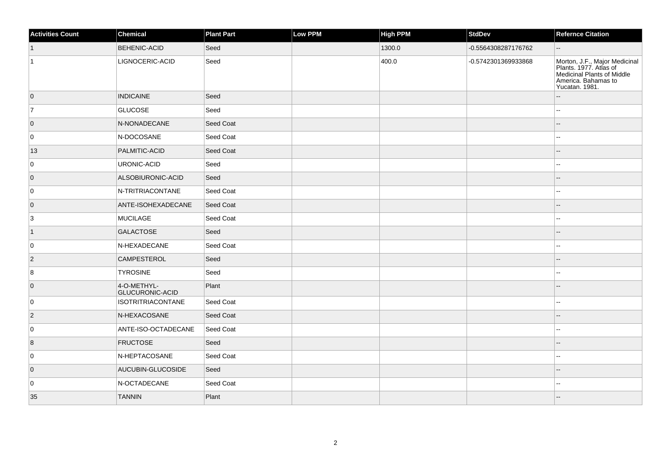| <b>Activities Count</b> | Chemical                              | Plant Part | <b>Low PPM</b> | <b>High PPM</b> | <b>StdDev</b>       | Refernce Citation                                                                                                              |
|-------------------------|---------------------------------------|------------|----------------|-----------------|---------------------|--------------------------------------------------------------------------------------------------------------------------------|
| $\vert$ 1               | <b>BEHENIC-ACID</b>                   | Seed       |                | 1300.0          | -0.5564308287176762 | $-$                                                                                                                            |
| $\vert$ 1               | LIGNOCERIC-ACID                       | Seed       |                | 400.0           | -0.5742301369933868 | Morton, J.F., Major Medicinal<br>Plants. 1977. Atlas of<br>Medicinal Plants of Middle<br>America. Bahamas to<br>Yucatan. 1981. |
| $\overline{0}$          | <b>INDICAINE</b>                      | Seed       |                |                 |                     |                                                                                                                                |
| 7                       | <b>GLUCOSE</b>                        | Seed       |                |                 |                     |                                                                                                                                |
| $\overline{0}$          | N-NONADECANE                          | Seed Coat  |                |                 |                     |                                                                                                                                |
| 0                       | N-DOCOSANE                            | Seed Coat  |                |                 |                     |                                                                                                                                |
| 13                      | PALMITIC-ACID                         | Seed Coat  |                |                 |                     | Ξ.                                                                                                                             |
| 0                       | URONIC-ACID                           | Seed       |                |                 |                     | $\sim$                                                                                                                         |
| $\overline{0}$          | ALSOBIURONIC-ACID                     | Seed       |                |                 |                     | $-$                                                                                                                            |
| 0                       | N-TRITRIACONTANE                      | Seed Coat  |                |                 |                     | $\sim$                                                                                                                         |
| $\overline{0}$          | ANTE-ISOHEXADECANE                    | Seed Coat  |                |                 |                     |                                                                                                                                |
| $\overline{3}$          | MUCILAGE                              | Seed Coat  |                |                 |                     |                                                                                                                                |
| $\vert$ 1               | <b>GALACTOSE</b>                      | Seed       |                |                 |                     |                                                                                                                                |
| 0                       | N-HEXADECANE                          | Seed Coat  |                |                 |                     |                                                                                                                                |
| $ 2\rangle$             | <b>CAMPESTEROL</b>                    | Seed       |                |                 |                     |                                                                                                                                |
| 8                       | <b>TYROSINE</b>                       | Seed       |                |                 |                     |                                                                                                                                |
| $\overline{0}$          | 4-O-METHYL-<br><b>GLUCURONIC-ACID</b> | Plant      |                |                 |                     |                                                                                                                                |
| 0                       | <b>ISOTRITRIACONTANE</b>              | Seed Coat  |                |                 |                     | $\sim$                                                                                                                         |
| $ 2\rangle$             | N-HEXACOSANE                          | Seed Coat  |                |                 |                     |                                                                                                                                |
| 0                       | ANTE-ISO-OCTADECANE                   | Seed Coat  |                |                 |                     |                                                                                                                                |
| 8                       | <b>FRUCTOSE</b>                       | Seed       |                |                 |                     |                                                                                                                                |
| 0                       | N-HEPTACOSANE                         | Seed Coat  |                |                 |                     | ш.                                                                                                                             |
| $\overline{0}$          | AUCUBIN-GLUCOSIDE                     | Seed       |                |                 |                     | $\overline{a}$                                                                                                                 |
| 0                       | N-OCTADECANE                          | Seed Coat  |                |                 |                     |                                                                                                                                |
| 35                      | <b>TANNIN</b>                         | Plant      |                |                 |                     |                                                                                                                                |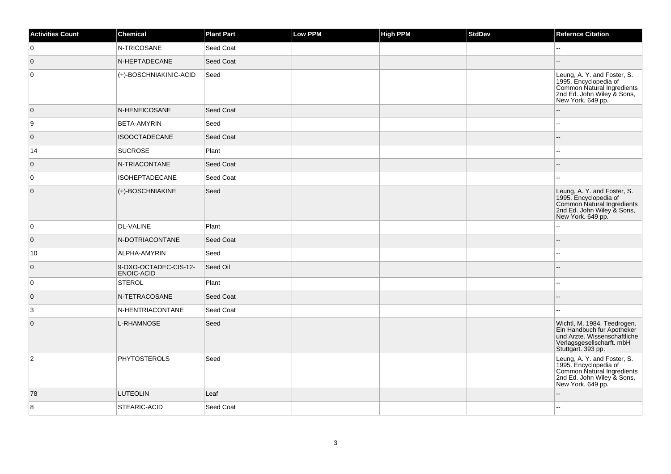| <b>Activities Count</b> | Chemical                                   | <b>Plant Part</b> | Low PPM | <b>High PPM</b> | <b>StdDev</b> | <b>Refernce Citation</b>                                                                                                                     |
|-------------------------|--------------------------------------------|-------------------|---------|-----------------|---------------|----------------------------------------------------------------------------------------------------------------------------------------------|
| 0                       | N-TRICOSANE                                | Seed Coat         |         |                 |               | Ξ.                                                                                                                                           |
| $\overline{0}$          | N-HEPTADECANE                              | Seed Coat         |         |                 |               |                                                                                                                                              |
| $\mathbf 0$             | (+)-BOSCHNIAKINIC-ACID                     | Seed              |         |                 |               | Leung, A. Y. and Foster, S.<br>1995. Encyclopedia of<br>Common Natural Ingredients<br>2nd Ed. John Wiley & Sons,<br>New York. 649 pp.        |
| $\overline{0}$          | N-HENEICOSANE                              | <b>Seed Coat</b>  |         |                 |               | --                                                                                                                                           |
| 9                       | <b>BETA-AMYRIN</b>                         | Seed              |         |                 |               | Ξ.                                                                                                                                           |
| $\overline{0}$          | <b>ISOOCTADECANE</b>                       | Seed Coat         |         |                 |               |                                                                                                                                              |
| 14                      | <b>SUCROSE</b>                             | Plant             |         |                 |               | ۵.                                                                                                                                           |
| 0                       | N-TRIACONTANE                              | Seed Coat         |         |                 |               |                                                                                                                                              |
| 0                       | <b>ISOHEPTADECANE</b>                      | Seed Coat         |         |                 |               | ۵۵                                                                                                                                           |
| $\overline{0}$          | $ (+)$ -BOSCHNIAKINE                       | Seed              |         |                 |               | Leung, A. Y. and Foster, S.<br>1995. Encyclopedia of<br>Common Natural Ingredients<br>2nd Ed. John Wiley & Sons,<br>New York. 649 pp.        |
| 0                       | <b>DL-VALINE</b>                           | Plant             |         |                 |               |                                                                                                                                              |
| $\overline{0}$          | N-DOTRIACONTANE                            | Seed Coat         |         |                 |               | --                                                                                                                                           |
| 10                      | <b>ALPHA-AMYRIN</b>                        | Seed              |         |                 |               | ۵.                                                                                                                                           |
| $\overline{0}$          | 9-OXO-OCTADEC-CIS-12-<br><b>ENOIC-ACID</b> | Seed Oil          |         |                 |               | $-$                                                                                                                                          |
| 0                       | STEROL                                     | Plant             |         |                 |               |                                                                                                                                              |
| $\overline{0}$          | N-TETRACOSANE                              | Seed Coat         |         |                 |               | $-$                                                                                                                                          |
| 3                       | N-HENTRIACONTANE                           | Seed Coat         |         |                 |               | ۵۵                                                                                                                                           |
| $\overline{0}$          | L-RHAMNOSE                                 | Seed              |         |                 |               | Wichtl, M. 1984. Teedrogen.<br>Ein Handbuch fur Apotheker<br>und Arzte. Wissenschaftliche<br>Verlagsgesellscharft. mbH<br>Stuttgart. 393 pp. |
| $\overline{2}$          | <b>PHYTOSTEROLS</b>                        | Seed              |         |                 |               | Leung, A. Y. and Foster, S.<br>1995. Encyclopedia of<br>Common Natural Ingredients<br>2nd Ed. John Wiley & Sons,<br>New York. 649 pp.        |
| 78                      | <b>LUTEOLIN</b>                            | Leaf              |         |                 |               |                                                                                                                                              |
| 8                       | <b>STEARIC-ACID</b>                        | Seed Coat         |         |                 |               | --                                                                                                                                           |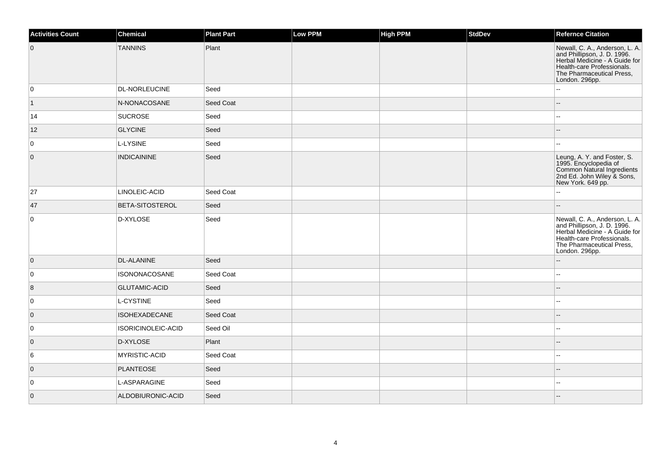| <b>Activities Count</b> | Chemical               | <b>Plant Part</b> | Low PPM | <b>High PPM</b> | <b>StdDev</b> | <b>Refernce Citation</b>                                                                                                                                                    |
|-------------------------|------------------------|-------------------|---------|-----------------|---------------|-----------------------------------------------------------------------------------------------------------------------------------------------------------------------------|
| $\overline{0}$          | <b>TANNINS</b>         | Plant             |         |                 |               | Newall, C. A., Anderson, L. A.<br>and Phillipson, J. D. 1996.<br>Herbal Medicine - A Guide for<br>Health-care Professionals.<br>The Pharmaceutical Press,<br>London. 296pp. |
| 0                       | <b>DL-NORLEUCINE</b>   | Seed              |         |                 |               | $\overline{a}$                                                                                                                                                              |
| $\vert$ 1               | N-NONACOSANE           | Seed Coat         |         |                 |               |                                                                                                                                                                             |
| 14                      | <b>SUCROSE</b>         | Seed              |         |                 |               |                                                                                                                                                                             |
| 12                      | <b>GLYCINE</b>         | Seed              |         |                 |               |                                                                                                                                                                             |
| 0                       | L-LYSINE               | Seed              |         |                 |               |                                                                                                                                                                             |
| $\overline{0}$          | <b>INDICAININE</b>     | Seed              |         |                 |               | Leung, A. Y. and Foster, S.<br>1995. Encyclopedia of<br>Common Natural Ingredients<br>2nd Ed. John Wiley & Sons,<br>New York. 649 pp.                                       |
| 27                      | LINOLEIC-ACID          | Seed Coat         |         |                 |               |                                                                                                                                                                             |
| 47                      | <b>BETA-SITOSTEROL</b> | Seed              |         |                 |               |                                                                                                                                                                             |
| 0                       | D-XYLOSE               | Seed              |         |                 |               | Newall, C. A., Anderson, L. A.<br>and Phillipson, J. D. 1996.<br>Herbal Medicine - A Guide for<br>Health-care Professionals.<br>The Pharmaceutical Press,<br>London. 296pp. |
| $\overline{0}$          | <b>DL-ALANINE</b>      | Seed              |         |                 |               | $\sim$                                                                                                                                                                      |
| 0                       | <b>ISONONACOSANE</b>   | Seed Coat         |         |                 |               |                                                                                                                                                                             |
| $\vert 8$               | <b>GLUTAMIC-ACID</b>   | Seed              |         |                 |               |                                                                                                                                                                             |
| 0                       | <b>L-CYSTINE</b>       | Seed              |         |                 |               | $\overline{a}$                                                                                                                                                              |
| $\overline{0}$          | <b>ISOHEXADECANE</b>   | Seed Coat         |         |                 |               |                                                                                                                                                                             |
| 0                       | ISORICINOLEIC-ACID     | Seed Oil          |         |                 |               | $\sim$                                                                                                                                                                      |
| $\overline{0}$          | D-XYLOSE               | Plant             |         |                 |               |                                                                                                                                                                             |
| 6                       | MYRISTIC-ACID          | Seed Coat         |         |                 |               |                                                                                                                                                                             |
| $\overline{0}$          | <b>PLANTEOSE</b>       | Seed              |         |                 |               |                                                                                                                                                                             |
| 0                       | L-ASPARAGINE           | Seed              |         |                 |               |                                                                                                                                                                             |
| $\overline{0}$          | ALDOBIURONIC-ACID      | Seed              |         |                 |               |                                                                                                                                                                             |